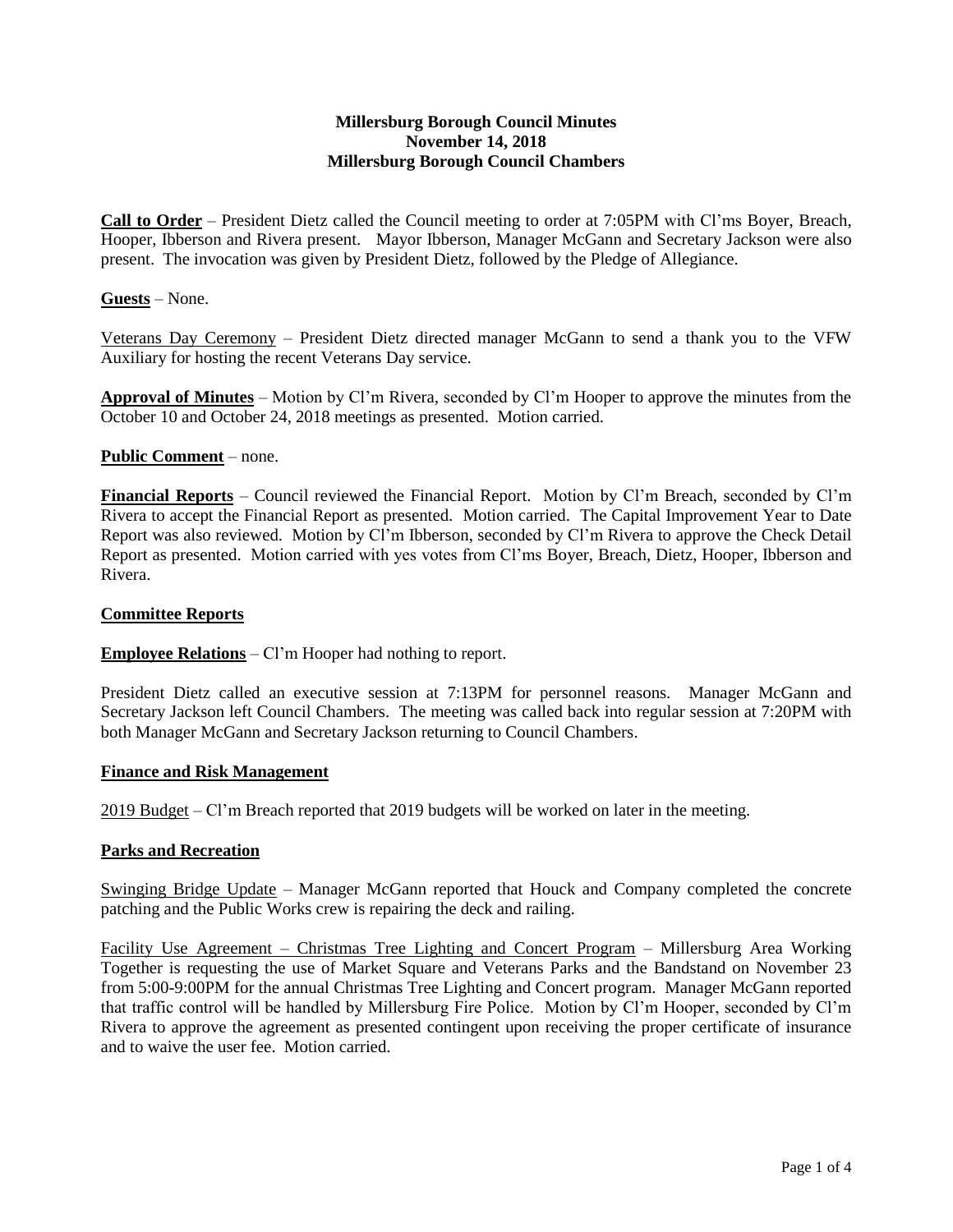# **Millersburg Borough Council Minutes November 14, 2018 Millersburg Borough Council Chambers**

**Call to Order** – President Dietz called the Council meeting to order at 7:05PM with Cl'ms Boyer, Breach, Hooper, Ibberson and Rivera present. Mayor Ibberson, Manager McGann and Secretary Jackson were also present. The invocation was given by President Dietz, followed by the Pledge of Allegiance.

# **Guests** – None.

Veterans Day Ceremony – President Dietz directed manager McGann to send a thank you to the VFW Auxiliary for hosting the recent Veterans Day service.

**Approval of Minutes** – Motion by Cl'm Rivera, seconded by Cl'm Hooper to approve the minutes from the October 10 and October 24, 2018 meetings as presented. Motion carried.

#### **Public Comment** – none.

**Financial Reports** – Council reviewed the Financial Report. Motion by Cl'm Breach, seconded by Cl'm Rivera to accept the Financial Report as presented. Motion carried. The Capital Improvement Year to Date Report was also reviewed. Motion by Cl'm Ibberson, seconded by Cl'm Rivera to approve the Check Detail Report as presented. Motion carried with yes votes from Cl'ms Boyer, Breach, Dietz, Hooper, Ibberson and Rivera.

#### **Committee Reports**

**Employee Relations** – Cl'm Hooper had nothing to report.

President Dietz called an executive session at 7:13PM for personnel reasons. Manager McGann and Secretary Jackson left Council Chambers. The meeting was called back into regular session at 7:20PM with both Manager McGann and Secretary Jackson returning to Council Chambers.

#### **Finance and Risk Management**

2019 Budget – Cl'm Breach reported that 2019 budgets will be worked on later in the meeting.

#### **Parks and Recreation**

Swinging Bridge Update – Manager McGann reported that Houck and Company completed the concrete patching and the Public Works crew is repairing the deck and railing.

Facility Use Agreement – Christmas Tree Lighting and Concert Program – Millersburg Area Working Together is requesting the use of Market Square and Veterans Parks and the Bandstand on November 23 from 5:00-9:00PM for the annual Christmas Tree Lighting and Concert program. Manager McGann reported that traffic control will be handled by Millersburg Fire Police. Motion by Cl'm Hooper, seconded by Cl'm Rivera to approve the agreement as presented contingent upon receiving the proper certificate of insurance and to waive the user fee. Motion carried.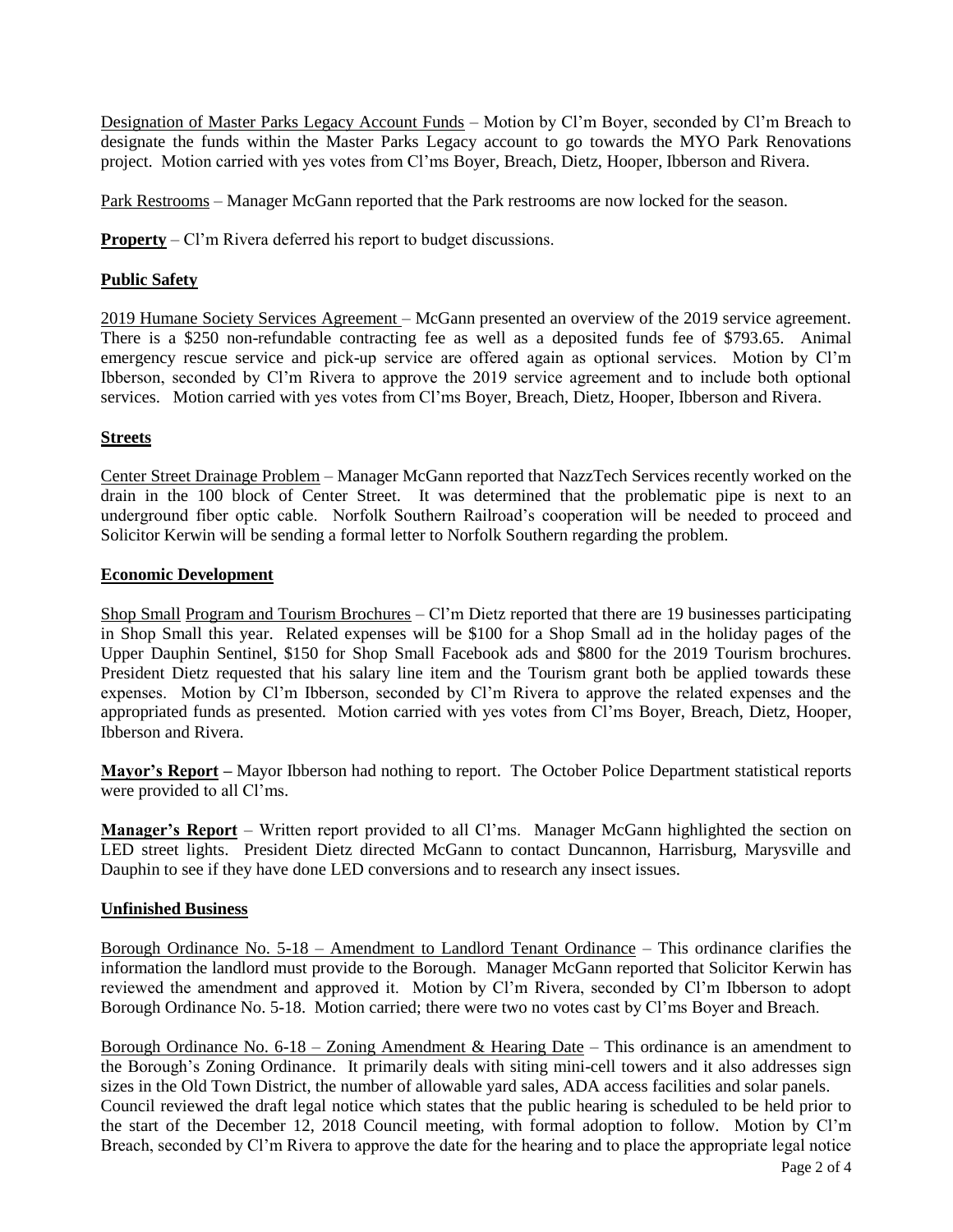Designation of Master Parks Legacy Account Funds – Motion by Cl'm Boyer, seconded by Cl'm Breach to designate the funds within the Master Parks Legacy account to go towards the MYO Park Renovations project. Motion carried with yes votes from Cl'ms Boyer, Breach, Dietz, Hooper, Ibberson and Rivera.

Park Restrooms – Manager McGann reported that the Park restrooms are now locked for the season.

**Property** – Cl'm Rivera deferred his report to budget discussions.

# **Public Safety**

2019 Humane Society Services Agreement – McGann presented an overview of the 2019 service agreement. There is a \$250 non-refundable contracting fee as well as a deposited funds fee of \$793.65. Animal emergency rescue service and pick-up service are offered again as optional services. Motion by Cl'm Ibberson, seconded by Cl'm Rivera to approve the 2019 service agreement and to include both optional services. Motion carried with yes votes from Cl'ms Boyer, Breach, Dietz, Hooper, Ibberson and Rivera.

# **Streets**

Center Street Drainage Problem – Manager McGann reported that NazzTech Services recently worked on the drain in the 100 block of Center Street. It was determined that the problematic pipe is next to an underground fiber optic cable. Norfolk Southern Railroad's cooperation will be needed to proceed and Solicitor Kerwin will be sending a formal letter to Norfolk Southern regarding the problem.

# **Economic Development**

Shop Small Program and Tourism Brochures – Cl'm Dietz reported that there are 19 businesses participating in Shop Small this year. Related expenses will be \$100 for a Shop Small ad in the holiday pages of the Upper Dauphin Sentinel, \$150 for Shop Small Facebook ads and \$800 for the 2019 Tourism brochures. President Dietz requested that his salary line item and the Tourism grant both be applied towards these expenses. Motion by Cl'm Ibberson, seconded by Cl'm Rivera to approve the related expenses and the appropriated funds as presented. Motion carried with yes votes from Cl'ms Boyer, Breach, Dietz, Hooper, Ibberson and Rivera.

**Mayor's Report –** Mayor Ibberson had nothing to report. The October Police Department statistical reports were provided to all Cl'ms.

**Manager's Report** – Written report provided to all Cl'ms. Manager McGann highlighted the section on LED street lights. President Dietz directed McGann to contact Duncannon, Harrisburg, Marysville and Dauphin to see if they have done LED conversions and to research any insect issues.

# **Unfinished Business**

Borough Ordinance No. 5-18 – Amendment to Landlord Tenant Ordinance – This ordinance clarifies the information the landlord must provide to the Borough. Manager McGann reported that Solicitor Kerwin has reviewed the amendment and approved it. Motion by Cl'm Rivera, seconded by Cl'm Ibberson to adopt Borough Ordinance No. 5-18. Motion carried; there were two no votes cast by Cl'ms Boyer and Breach.

Borough Ordinance No.  $6-18$  – Zoning Amendment & Hearing Date – This ordinance is an amendment to the Borough's Zoning Ordinance. It primarily deals with siting mini-cell towers and it also addresses sign sizes in the Old Town District, the number of allowable yard sales, ADA access facilities and solar panels. Council reviewed the draft legal notice which states that the public hearing is scheduled to be held prior to the start of the December 12, 2018 Council meeting, with formal adoption to follow. Motion by Cl'm Breach, seconded by Cl'm Rivera to approve the date for the hearing and to place the appropriate legal notice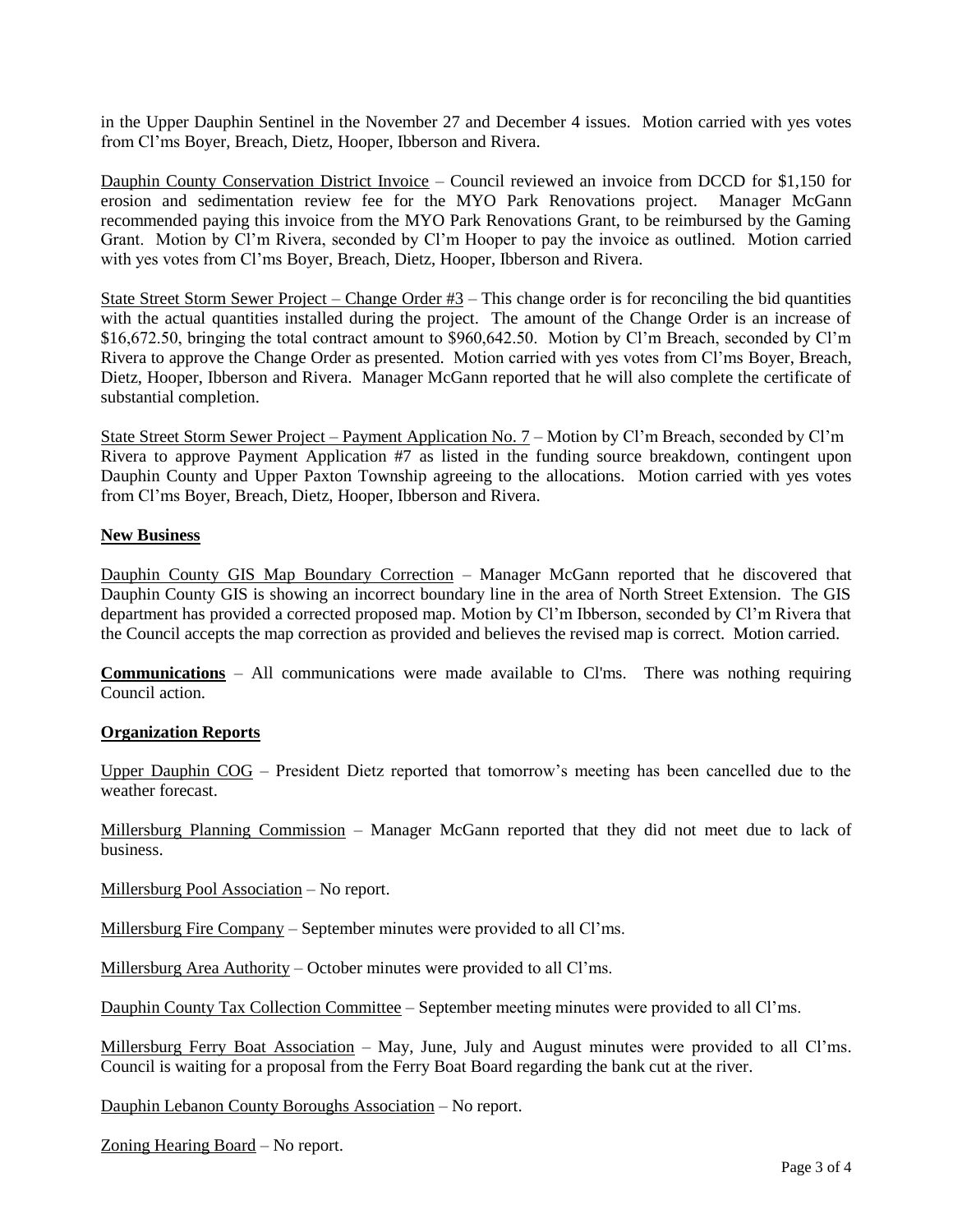in the Upper Dauphin Sentinel in the November 27 and December 4 issues. Motion carried with yes votes from Cl'ms Boyer, Breach, Dietz, Hooper, Ibberson and Rivera.

Dauphin County Conservation District Invoice – Council reviewed an invoice from DCCD for \$1,150 for erosion and sedimentation review fee for the MYO Park Renovations project. Manager McGann recommended paying this invoice from the MYO Park Renovations Grant, to be reimbursed by the Gaming Grant. Motion by Cl'm Rivera, seconded by Cl'm Hooper to pay the invoice as outlined. Motion carried with yes votes from Cl'ms Boyer, Breach, Dietz, Hooper, Ibberson and Rivera.

State Street Storm Sewer Project – Change Order  $#3$  – This change order is for reconciling the bid quantities with the actual quantities installed during the project. The amount of the Change Order is an increase of \$16,672.50, bringing the total contract amount to \$960,642.50. Motion by Cl'm Breach, seconded by Cl'm Rivera to approve the Change Order as presented. Motion carried with yes votes from Cl'ms Boyer, Breach, Dietz, Hooper, Ibberson and Rivera. Manager McGann reported that he will also complete the certificate of substantial completion.

State Street Storm Sewer Project – Payment Application No. 7 – Motion by Cl'm Breach, seconded by Cl'm Rivera to approve Payment Application #7 as listed in the funding source breakdown, contingent upon Dauphin County and Upper Paxton Township agreeing to the allocations. Motion carried with yes votes from Cl'ms Boyer, Breach, Dietz, Hooper, Ibberson and Rivera.

# **New Business**

Dauphin County GIS Map Boundary Correction - Manager McGann reported that he discovered that Dauphin County GIS is showing an incorrect boundary line in the area of North Street Extension. The GIS department has provided a corrected proposed map. Motion by Cl'm Ibberson, seconded by Cl'm Rivera that the Council accepts the map correction as provided and believes the revised map is correct. Motion carried.

**Communications** – All communications were made available to Cl'ms. There was nothing requiring Council action.

#### **Organization Reports**

Upper Dauphin COG – President Dietz reported that tomorrow's meeting has been cancelled due to the weather forecast.

Millersburg Planning Commission – Manager McGann reported that they did not meet due to lack of business.

Millersburg Pool Association – No report.

Millersburg Fire Company – September minutes were provided to all Cl'ms.

Millersburg Area Authority – October minutes were provided to all Cl'ms.

Dauphin County Tax Collection Committee – September meeting minutes were provided to all Cl'ms.

Millersburg Ferry Boat Association – May, June, July and August minutes were provided to all Cl'ms. Council is waiting for a proposal from the Ferry Boat Board regarding the bank cut at the river.

Dauphin Lebanon County Boroughs Association – No report.

Zoning Hearing Board – No report.